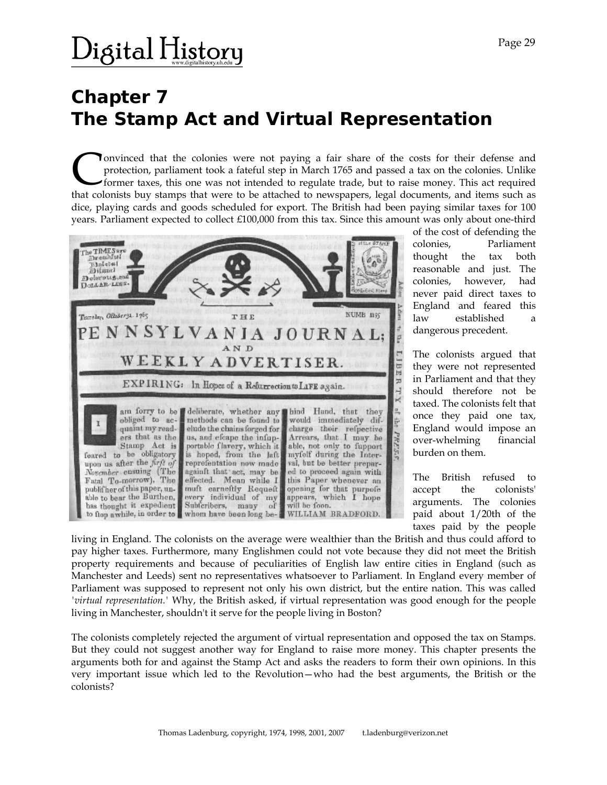### $\rm$  )igital History

### **Chapter 7 The Stamp Act and Virtual Representation**

onvinced that the colonies were not paying a fair share of the costs for their defense and protection, parliament took a fateful step in March 1765 and passed a tax on the colonies. Unlike former taxes, this one was not intended to regulate trade, but to raise money. This act required Convinced that the colonies were not paying a fair share of the costs for their defense and protection, parliament took a fateful step in March 1765 and passed a tax on the colonies. Unlike former taxes, this one was not i dice, playing cards and goods scheduled for export. The British had been paying similar taxes for 100 years. Parliament expected to collect £100,000 from this tax. Since this amount was only about one-third



of the cost of defending the colonies, Parliament thought the tax both reasonable and just. The colonies, however, had never paid direct taxes to England and feared this law established a dangerous precedent.

The colonists argued that they were not represented in Parliament and that they should therefore not be taxed. The colonists felt that once they paid one tax, England would impose an over-whelming financial burden on them.

The British refused to accept the colonists' arguments. The colonies paid about 1/20th of the taxes paid by the people

living in England. The colonists on the average were wealthier than the British and thus could afford to pay higher taxes. Furthermore, many Englishmen could not vote because they did not meet the British property requirements and because of peculiarities of English law entire cities in England (such as Manchester and Leeds) sent no representatives whatsoever to Parliament. In England every member of Parliament was supposed to represent not only his own district, but the entire nation. This was called *'virtual representation.'* Why, the British asked, if virtual representation was good enough for the people living in Manchester, shouldn't it serve for the people living in Boston?

The colonists completely rejected the argument of virtual representation and opposed the tax on Stamps. But they could not suggest another way for England to raise more money. This chapter presents the arguments both for and against the Stamp Act and asks the readers to form their own opinions. In this very important issue which led to the Revolution—who had the best arguments, the British or the colonists?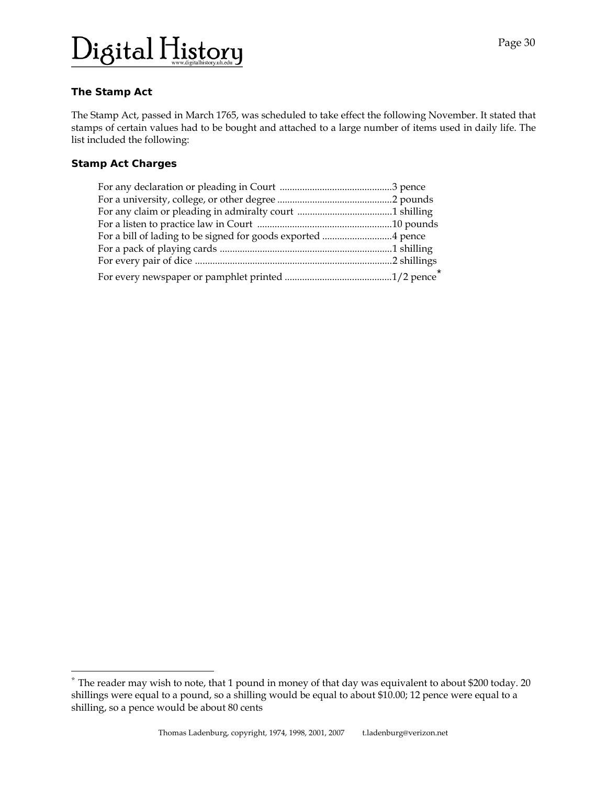## Digital History

### **The Stamp Act**

The Stamp Act, passed in March 1765, was scheduled to take effect the following November. It stated that stamps of certain values had to be bought and attached to a large number of items used in daily life. The list included the following:

#### **Stamp Act Charges**

l

| For a bill of lading to be signed for goods exported 4 pence |  |
|--------------------------------------------------------------|--|
|                                                              |  |
|                                                              |  |
|                                                              |  |

<span id="page-1-0"></span><sup>\*</sup> The reader may wish to note, that 1 pound in money of that day was equivalent to about \$200 today. 20 shillings were equal to a pound, so a shilling would be equal to about \$10.00; 12 pence were equal to a shilling, so a pence would be about 80 cents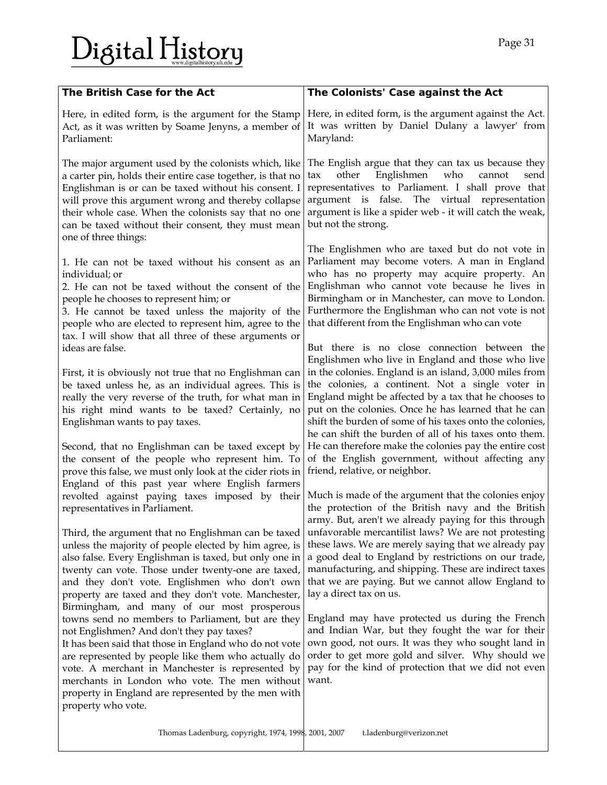# Digital History

| The British Case for the Act                                                                                                                                                                                                                                                                                                                                                                                                              | The Colonists' Case against the Act                                                                                                                                                                                                                                                                                                                                                                              |
|-------------------------------------------------------------------------------------------------------------------------------------------------------------------------------------------------------------------------------------------------------------------------------------------------------------------------------------------------------------------------------------------------------------------------------------------|------------------------------------------------------------------------------------------------------------------------------------------------------------------------------------------------------------------------------------------------------------------------------------------------------------------------------------------------------------------------------------------------------------------|
| Here, in edited form, is the argument for the Stamp<br>Act, as it was written by Soame Jenyns, a member of<br>Parliament:                                                                                                                                                                                                                                                                                                                 | Here, in edited form, is the argument against the Act.<br>It was written by Daniel Dulany a lawyer' from<br>Maryland:                                                                                                                                                                                                                                                                                            |
| The major argument used by the colonists which, like<br>a carter pin, holds their entire case together, is that no<br>Englishman is or can be taxed without his consent. I<br>will prove this argument wrong and thereby collapse<br>their whole case. When the colonists say that no one<br>can be taxed without their consent, they must mean<br>one of three things:                                                                   | The English argue that they can tax us because they<br>Englishmen<br>who<br>other<br>cannot<br>send<br>tax<br>representatives to Parliament. I shall prove that<br>argument is false. The virtual representation<br>argument is like a spider web - it will catch the weak,<br>but not the strong.                                                                                                               |
| 1. He can not be taxed without his consent as an<br>individual; or<br>2. He can not be taxed without the consent of the<br>people he chooses to represent him; or<br>3. He cannot be taxed unless the majority of the<br>people who are elected to represent him, agree to the<br>tax. I will show that all three of these arguments or<br>ideas are false.                                                                               | The Englishmen who are taxed but do not vote in<br>Parliament may become voters. A man in England<br>who has no property may acquire property. An<br>Englishman who cannot vote because he lives in<br>Birmingham or in Manchester, can move to London.<br>Furthermore the Englishman who can not vote is not<br>that different from the Englishman who can vote<br>But there is no close connection between the |
| First, it is obviously not true that no Englishman can<br>be taxed unless he, as an individual agrees. This is<br>really the very reverse of the truth, for what man in<br>his right mind wants to be taxed? Certainly, no<br>Englishman wants to pay taxes.                                                                                                                                                                              | Englishmen who live in England and those who live<br>in the colonies. England is an island, 3,000 miles from<br>the colonies, a continent. Not a single voter in<br>England might be affected by a tax that he chooses to<br>put on the colonies. Once he has learned that he can<br>shift the burden of some of his taxes onto the colonies,<br>he can shift the burden of all of his taxes onto them.          |
| Second, that no Englishman can be taxed except by<br>the consent of the people who represent him. To<br>prove this false, we must only look at the cider riots in<br>England of this past year where English farmers<br>revolted against paying taxes imposed by their<br>representatives in Parliament.                                                                                                                                  | He can therefore make the colonies pay the entire cost<br>of the English government, without affecting any<br>friend, relative, or neighbor.<br>Much is made of the argument that the colonies enjoy<br>the protection of the British navy and the British<br>army. But, aren't we already paying for this through                                                                                               |
| Third, the argument that no Englishman can be taxed<br>unless the majority of people elected by him agree, is<br>also false. Every Englishman is taxed, but only one in<br>twenty can vote. Those under twenty-one are taxed,<br>and they don't vote. Englishmen who don't own<br>property are taxed and they don't vote. Manchester,<br>Birmingham, and many of our most prosperous<br>towns send no members to Parliament, but are they | unfavorable mercantilist laws? We are not protesting<br>these laws. We are merely saying that we already pay<br>a good deal to England by restrictions on our trade,<br>manufacturing, and shipping. These are indirect taxes<br>that we are paying. But we cannot allow England to<br>lay a direct tax on us.<br>England may have protected us during the French                                                |
| not Englishmen? And don't they pay taxes?<br>It has been said that those in England who do not vote<br>are represented by people like them who actually do<br>vote. A merchant in Manchester is represented by<br>merchants in London who vote. The men without<br>property in England are represented by the men with<br>property who vote.                                                                                              | and Indian War, but they fought the war for their<br>own good, not ours. It was they who sought land in<br>order to get more gold and silver. Why should we<br>pay for the kind of protection that we did not even<br>want.                                                                                                                                                                                      |
| Thomas Ladenburg, copyright, 1974, 1998, 2001, 2007                                                                                                                                                                                                                                                                                                                                                                                       | t.ladenburg@verizon.net                                                                                                                                                                                                                                                                                                                                                                                          |